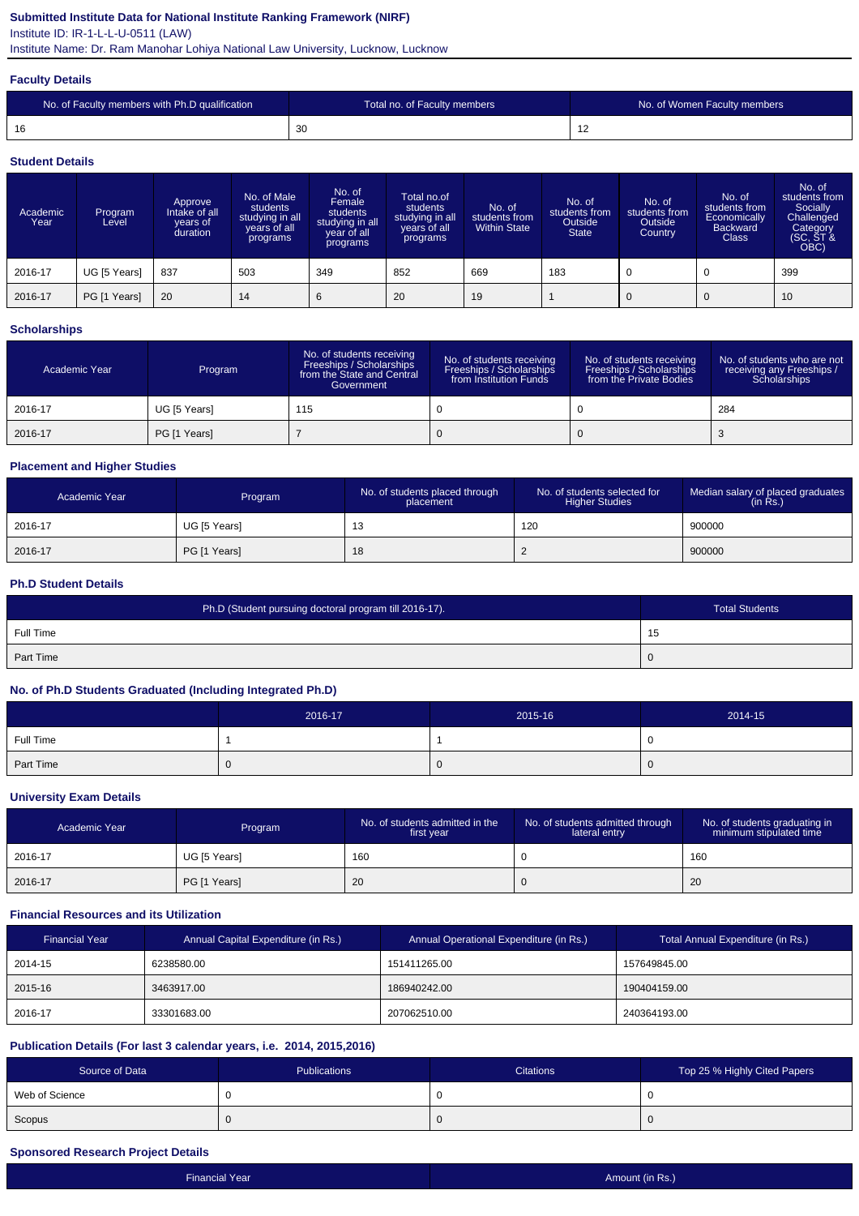## **Submitted Institute Data for National Institute Ranking Framework (NIRF)**

Institute ID: IR-1-L-L-U-0511 (LAW)

Institute Name: Dr. Ram Manohar Lohiya National Law University, Lucknow, Lucknow

#### **Faculty Details**

| No. of Faculty members with Ph.D qualification | Total no. of Faculty members | No. of Women Faculty members |
|------------------------------------------------|------------------------------|------------------------------|
| 16                                             | 30                           | 14                           |

#### **Student Details**

| Academic<br>Year | Program<br>Level | Approve<br>Intake of all<br>vears of<br>duration | No. of Male<br>students<br>studying in all<br>years of all<br>programs | No. of<br>Female<br>students<br>studying in all<br>year of all<br>programs | Total no.of<br>students<br>studying in all<br>years of all<br>programs | No. of<br>students from<br><b>Within State</b> | No. of<br>students from<br>Outside<br><b>State</b> | No. of<br>students from<br>Outside<br>Country | No. of<br>students from<br>Economically<br><b>Backward</b><br><b>Class</b> | No. of<br>students from<br>Socially<br>Challenged<br>Category<br>(SC, ST &<br>OBC) |
|------------------|------------------|--------------------------------------------------|------------------------------------------------------------------------|----------------------------------------------------------------------------|------------------------------------------------------------------------|------------------------------------------------|----------------------------------------------------|-----------------------------------------------|----------------------------------------------------------------------------|------------------------------------------------------------------------------------|
| 2016-17          | UG [5 Years]     | 837                                              | 503                                                                    | 349                                                                        | 852                                                                    | 669                                            | 183                                                |                                               | 0                                                                          | 399                                                                                |
| 2016-17          | PG [1 Years]     | 20                                               | 14                                                                     | 6                                                                          | 20                                                                     | 19                                             |                                                    | 0                                             | $\mathbf 0$                                                                | 10                                                                                 |

## **Scholarships**

| Academic Year | Program      | No. of students receiving<br>Freeships / Scholarships<br>from the State and Central<br>Government | No. of students receiving<br>Freeships / Scholarships<br>from Institution Funds | No. of students receiving<br>Freeships / Scholarships<br>from the Private Bodies | No. of students who are not<br>receiving any Freeships /<br>Scholarships |
|---------------|--------------|---------------------------------------------------------------------------------------------------|---------------------------------------------------------------------------------|----------------------------------------------------------------------------------|--------------------------------------------------------------------------|
| 2016-17       | UG [5 Years] | 115                                                                                               |                                                                                 |                                                                                  | 284                                                                      |
| 2016-17       | PG [1 Years] |                                                                                                   |                                                                                 |                                                                                  |                                                                          |

## **Placement and Higher Studies**

| Academic Year | Program      | No. of students placed through<br>placement | No. of students selected for<br><b>Higher Studies</b> | Median salary of placed graduates<br>(in Rs.) |
|---------------|--------------|---------------------------------------------|-------------------------------------------------------|-----------------------------------------------|
| 2016-17       | UG [5 Years] | ں ا                                         | 120                                                   | 900000                                        |
| 2016-17       | PG [1 Years] | 18                                          | <u>_</u>                                              | 900000                                        |

### **Ph.D Student Details**

| Ph.D (Student pursuing doctoral program till 2016-17). | <b>Total Students</b> |
|--------------------------------------------------------|-----------------------|
| Full Time                                              | -15                   |
| <b>Part Time</b>                                       | -0                    |

## **No. of Ph.D Students Graduated (Including Integrated Ph.D)**

|           | 2016-17 | 2015-16 | 2014-15 |
|-----------|---------|---------|---------|
| Full Time |         |         | ◡       |
| Part Time |         |         | v       |

### **University Exam Details**

| Academic Year | Program      | No. of students admitted in the<br>first year | No. of students admitted through<br>lateral entry | No. of students graduating in<br>minimum stipulated time |
|---------------|--------------|-----------------------------------------------|---------------------------------------------------|----------------------------------------------------------|
| 2016-17       | UG [5 Years] | 160                                           |                                                   | 160                                                      |
| 2016-17       | PG [1 Years] | 20                                            |                                                   | 20                                                       |

## **Financial Resources and its Utilization**

| <b>Financial Year</b> | Annual Capital Expenditure (in Rs.) | Annual Operational Expenditure (in Rs.) | Total Annual Expenditure (in Rs.) |
|-----------------------|-------------------------------------|-----------------------------------------|-----------------------------------|
| 2014-15               | 6238580.00                          | 151411265.00                            | 157649845.00                      |
| 2015-16               | 3463917.00                          | 186940242.00                            | 190404159.00                      |
| 2016-17               | 33301683.00                         | 207062510.00                            | 240364193.00                      |

## **Publication Details (For last 3 calendar years, i.e. 2014, 2015,2016)**

| Source of Data | Publications | <b>Citations</b> | Top 25 % Highly Cited Papers |
|----------------|--------------|------------------|------------------------------|
| Web of Science |              |                  |                              |
| Scopus         |              | . .              |                              |

## **Sponsored Research Project Details**

| <b>Financial Year</b> | Amount (in Rs.) |
|-----------------------|-----------------|
|                       |                 |